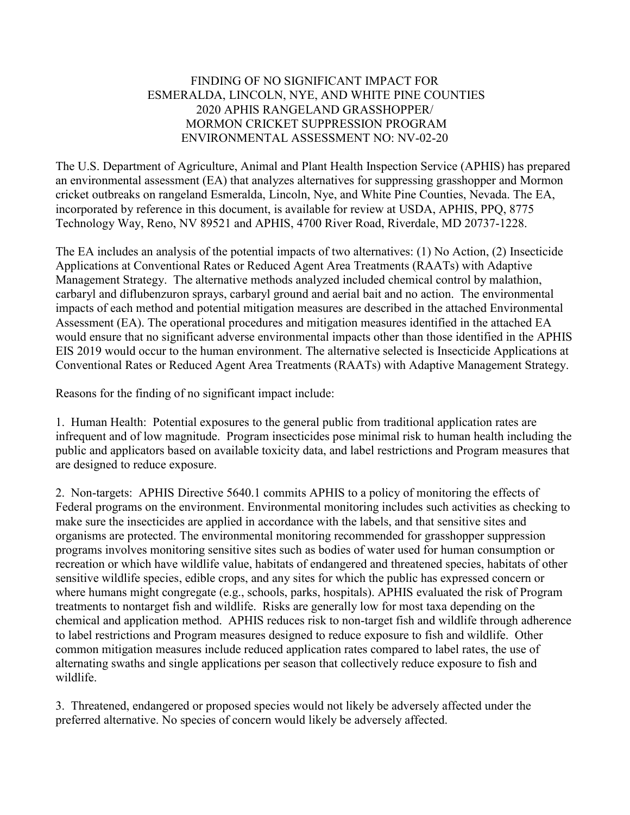## FINDING OF NO SIGNIFICANT IMPACT FOR ESMERALDA, LINCOLN, NYE, AND WHITE PINE COUNTIES 2020 APHIS RANGELAND GRASSHOPPER/ MORMON CRICKET SUPPRESSION PROGRAM ENVIRONMENTAL ASSESSMENT NO: NV-02-20

The U.S. Department of Agriculture, Animal and Plant Health Inspection Service (APHIS) has prepared an environmental assessment (EA) that analyzes alternatives for suppressing grasshopper and Mormon cricket outbreaks on rangeland Esmeralda, Lincoln, Nye, and White Pine Counties, Nevada. The EA, incorporated by reference in this document, is available for review at USDA, APHIS, PPQ, 8775 Technology Way, Reno, NV 89521 and APHIS, 4700 River Road, Riverdale, MD 20737-1228.

The EA includes an analysis of the potential impacts of two alternatives: (1) No Action, (2) Insecticide Applications at Conventional Rates or Reduced Agent Area Treatments (RAATs) with Adaptive Management Strategy. The alternative methods analyzed included chemical control by malathion, carbaryl and diflubenzuron sprays, carbaryl ground and aerial bait and no action. The environmental impacts of each method and potential mitigation measures are described in the attached Environmental Assessment (EA). The operational procedures and mitigation measures identified in the attached EA would ensure that no significant adverse environmental impacts other than those identified in the APHIS EIS 2019 would occur to the human environment. The alternative selected is Insecticide Applications at Conventional Rates or Reduced Agent Area Treatments (RAATs) with Adaptive Management Strategy.

Reasons for the finding of no significant impact include:

1. Human Health: Potential exposures to the general public from traditional application rates are infrequent and of low magnitude. Program insecticides pose minimal risk to human health including the public and applicators based on available toxicity data, and label restrictions and Program measures that are designed to reduce exposure.

2. Non-targets: APHIS Directive 5640.1 commits APHIS to a policy of monitoring the effects of Federal programs on the environment. Environmental monitoring includes such activities as checking to make sure the insecticides are applied in accordance with the labels, and that sensitive sites and organisms are protected. The environmental monitoring recommended for grasshopper suppression programs involves monitoring sensitive sites such as bodies of water used for human consumption or recreation or which have wildlife value, habitats of endangered and threatened species, habitats of other sensitive wildlife species, edible crops, and any sites for which the public has expressed concern or where humans might congregate (e.g., schools, parks, hospitals). APHIS evaluated the risk of Program treatments to nontarget fish and wildlife. Risks are generally low for most taxa depending on the chemical and application method. APHIS reduces risk to non-target fish and wildlife through adherence to label restrictions and Program measures designed to reduce exposure to fish and wildlife. Other common mitigation measures include reduced application rates compared to label rates, the use of alternating swaths and single applications per season that collectively reduce exposure to fish and wildlife.

3. Threatened, endangered or proposed species would not likely be adversely affected under the preferred alternative. No species of concern would likely be adversely affected.